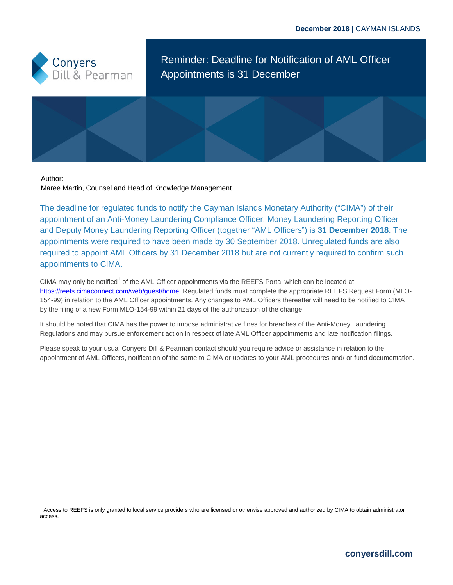

Reminder: Deadline for Notification of AML Officer Appointments is 31 December

Author:

Maree Martin, Counsel and Head of Knowledge Management

The deadline for regulated funds to notify the Cayman Islands Monetary Authority ("CIMA") of their appointment of an Anti-Money Laundering Compliance Officer, Money Laundering Reporting Officer and Deputy Money Laundering Reporting Officer (together "AML Officers") is **31 December 2018**. The appointments were required to have been made by 30 September 2018. Unregulated funds are also required to appoint AML Officers by 31 December 2018 but are not currently required to confirm such appointments to CIMA.

CIMA may only be notified<sup>[1](#page-0-0)</sup> of the AML Officer appointments via the REEFS Portal which can be located at [https://reefs.cimaconnect.com/web/guest/home.](https://reefs.cimaconnect.com/web/guest/home) Regulated funds must complete the appropriate REEFS Request Form (MLO-154-99) in relation to the AML Officer appointments. Any changes to AML Officers thereafter will need to be notified to CIMA by the filing of a new Form MLO-154-99 within 21 days of the authorization of the change.

It should be noted that CIMA has the power to impose administrative fines for breaches of the Anti-Money Laundering Regulations and may pursue enforcement action in respect of late AML Officer appointments and late notification filings.

Please speak to your usual Conyers Dill & Pearman contact should you require advice or assistance in relation to the appointment of AML Officers, notification of the same to CIMA or updates to your AML procedures and/ or fund documentation.

<span id="page-0-0"></span><sup>1</sup> Access to REEFS is only granted to local service providers who are licensed or otherwise approved and authorized by CIMA to obtain administrator access.